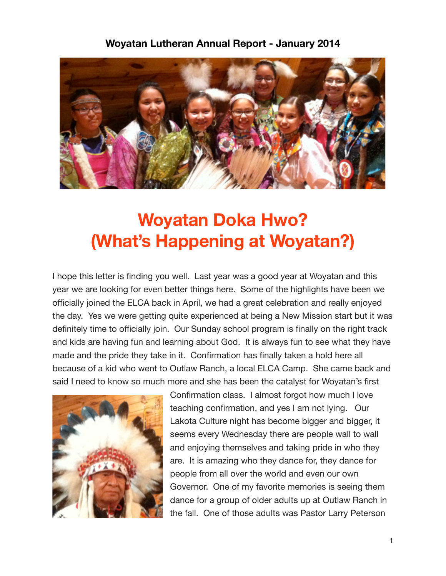## **Woyatan Lutheran Annual Report - January 2014**



## **Woyatan Doka Hwo? (What's Happening at Woyatan?)**

I hope this letter is finding you well. Last year was a good year at Woyatan and this year we are looking for even better things here. Some of the highlights have been we officially joined the ELCA back in April, we had a great celebration and really enjoyed the day. Yes we were getting quite experienced at being a New Mission start but it was definitely time to officially join. Our Sunday school program is finally on the right track and kids are having fun and learning about God. It is always fun to see what they have made and the pride they take in it. Confirmation has finally taken a hold here all because of a kid who went to Outlaw Ranch, a local ELCA Camp. She came back and said I need to know so much more and she has been the catalyst for Woyatan's first



Confirmation class. I almost forgot how much I love teaching confirmation, and yes I am not lying. Our Lakota Culture night has become bigger and bigger, it seems every Wednesday there are people wall to wall and enjoying themselves and taking pride in who they are. It is amazing who they dance for, they dance for people from all over the world and even our own Governor. One of my favorite memories is seeing them dance for a group of older adults up at Outlaw Ranch in the fall. One of those adults was Pastor Larry Peterson